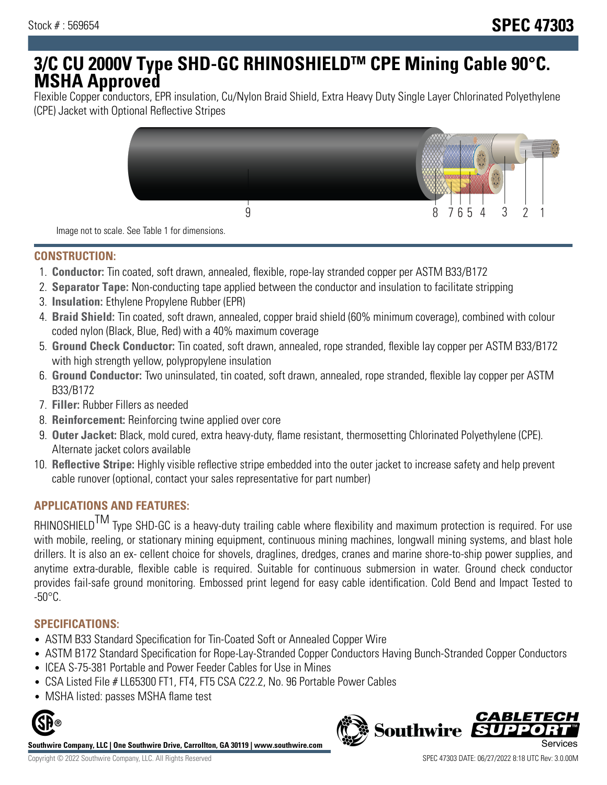# **3/C CU 2000V Type SHD-GC RHINOSHIELDTM CPE Mining Cable 90°C. MSHA Approved**

Flexible Copper conductors, EPR insulation, Cu/Nylon Braid Shield, Extra Heavy Duty Single Layer Chlorinated Polyethylene (CPE) Jacket with Optional Reflective Stripes



Image not to scale. See Table 1 for dimensions.

## **CONSTRUCTION:**

- 1. **Conductor:** Tin coated, soft drawn, annealed, flexible, rope-lay stranded copper per ASTM B33/B172
- 2. **Separator Tape:** Non-conducting tape applied between the conductor and insulation to facilitate stripping
- 3. **Insulation:** Ethylene Propylene Rubber (EPR)
- 4. **Braid Shield:** Tin coated, soft drawn, annealed, copper braid shield (60% minimum coverage), combined with colour coded nylon (Black, Blue, Red) with a 40% maximum coverage
- 5. **Ground Check Conductor:** Tin coated, soft drawn, annealed, rope stranded, flexible lay copper per ASTM B33/B172 with high strength yellow, polypropylene insulation
- 6. **Ground Conductor:** Two uninsulated, tin coated, soft drawn, annealed, rope stranded, flexible lay copper per ASTM B33/B172
- 7. **Filler:** Rubber Fillers as needed
- 8. **Reinforcement:** Reinforcing twine applied over core
- 9. **Outer Jacket:** Black, mold cured, extra heavy-duty, flame resistant, thermosetting Chlorinated Polyethylene (CPE). Alternate jacket colors available
- 10. **Reflective Stripe:** Highly visible reflective stripe embedded into the outer jacket to increase safety and help prevent cable runover (optional, contact your sales representative for part number)

# **APPLICATIONS AND FEATURES:**

RHINOSHIELD<sup>TM</sup> Type SHD-GC is a heavy-duty trailing cable where flexibility and maximum protection is required. For use with mobile, reeling, or stationary mining equipment, continuous mining machines, longwall mining systems, and blast hole drillers. It is also an ex- cellent choice for shovels, draglines, dredges, cranes and marine shore-to-ship power supplies, and anytime extra-durable, flexible cable is required. Suitable for continuous submersion in water. Ground check conductor provides fail-safe ground monitoring. Embossed print legend for easy cable identification. Cold Bend and Impact Tested to  $-50^{\circ}$ C.

#### **SPECIFICATIONS:**

- ASTM B33 Standard Specification for Tin-Coated Soft or Annealed Copper Wire
- ASTM B172 Standard Specification for Rope-Lay-Stranded Copper Conductors Having Bunch-Stranded Copper Conductors
- ICEA S-75-381 Portable and Power Feeder Cables for Use in Mines
- CSA Listed File # LL65300 FT1, FT4, FT5 CSA C22.2, No. 96 Portable Power Cables
- MSHA listed: passes MSHA flame test



**Southwire Company, LLC | One Southwire Drive, Carrollton, GA 30119 | www.southwire.com**

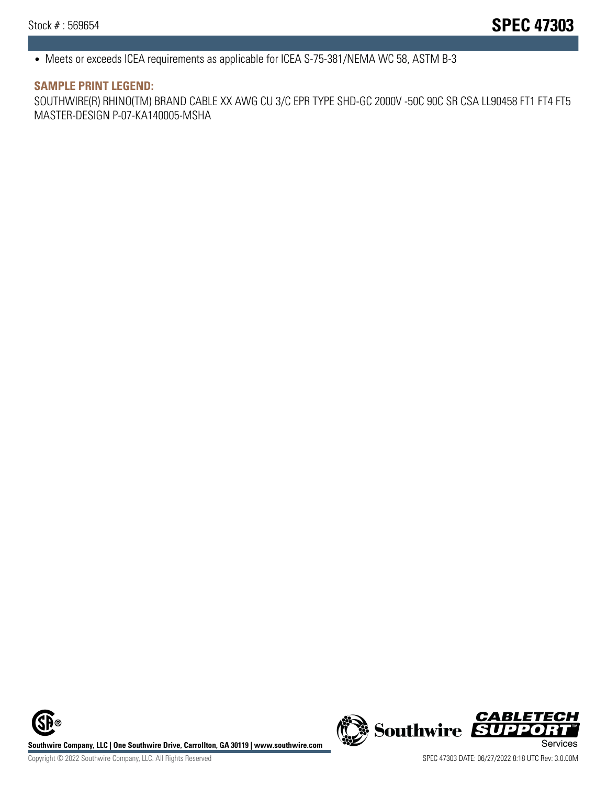• Meets or exceeds ICEA requirements as applicable for ICEA S-75-381/NEMA WC 58, ASTM B-3

#### **SAMPLE PRINT LEGEND:**

SOUTHWIRE(R) RHINO(TM) BRAND CABLE XX AWG CU 3/C EPR TYPE SHD-GC 2000V -50C 90C SR CSA LL90458 FT1 FT4 FT5 MASTER-DESIGN P-07-KA140005-MSHA

**Southwire Company, LLC | One Southwire Drive, Carrollton, GA 30119 | www.southwire.com**<br>Services